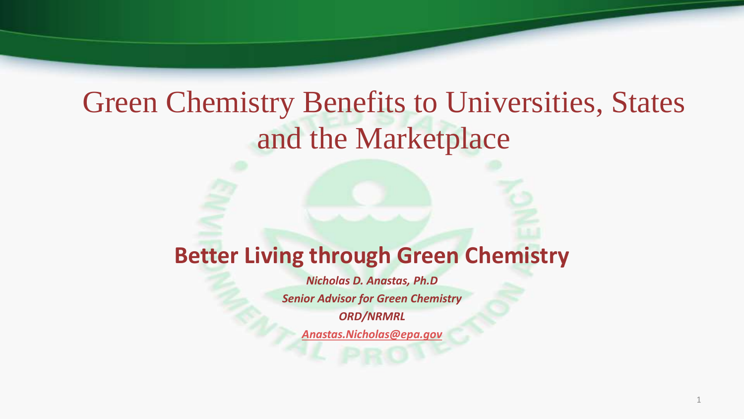## Green Chemistry Benefits to Universities, States and the Marketplace

#### **Better Living through Green Chemistry**

*Nicholas D. Anastas, Ph.D Senior Advisor for Green Chemistry ORD/NRMRL [Anastas.Nicholas@epa.gov](mailto:Anastas.Nicholas@epa.gov)*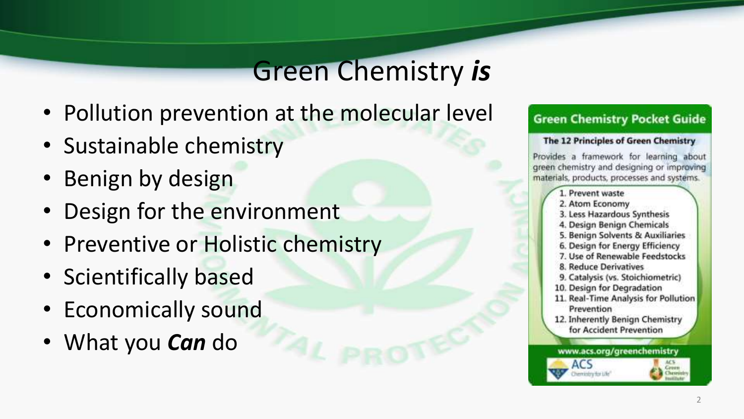## Green Chemistry *is*

- Pollution prevention at the molecular level
- Sustainable chemistry
- Benign by design
- Design for the environment
- Preventive or Holistic chemistry
- Scientifically based
- Economically sound
- What you *Can* do

#### **Green Chemistry Pocket Guide**

#### The 12 Principles of Green Chemistry

Provides a framework for learning about green chemistry and designing or improving materials, products, processes and systems.

- 1. Prevent waste
- 2. Atom Economy
- 3. Less Hazardous Synthesis
- 4. Design Benign Chemicals
- 5. Benign Solvents & Auxiliaries
- 6. Design for Energy Efficiency
- 7. Use of Renewable Feedstocks
- **8. Reduce Derivatives**
- 9. Catalysis (vs. Stoichiometric)
- 10. Design for Degradation
- 11. Real-Time Analysis for Pollution Prevention
- 12. Inherently Benign Chemistry for Accident Prevention

www.acs.org/greenchemistry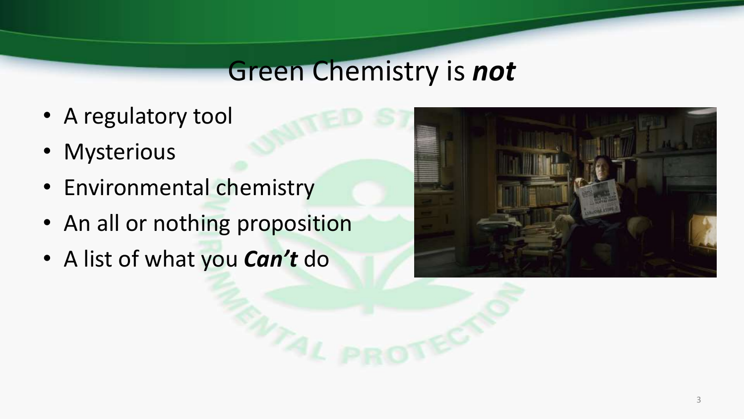#### Green Chemistry is *not*

- A regulatory tool
- Mysterious
- Environmental chemistry
- An all or nothing proposition
- A list of what you *Can't* do

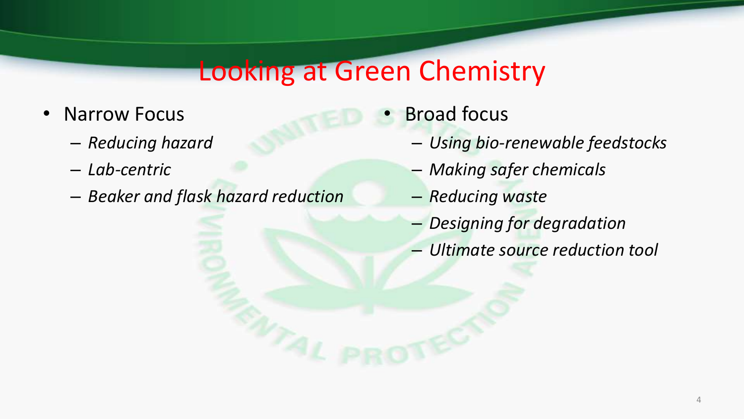#### Looking at Green Chemistry

- Narrow Focus
	- *Reducing hazard*
	- *Lab-centric*
	- *Beaker and flask hazard reduction*
- **Broad focus** 
	- *Using bio-renewable feedstocks*
	- *Making safer chemicals*
	- *Reducing waste*
	- *Designing for degradation*
	- *Ultimate source reduction tool*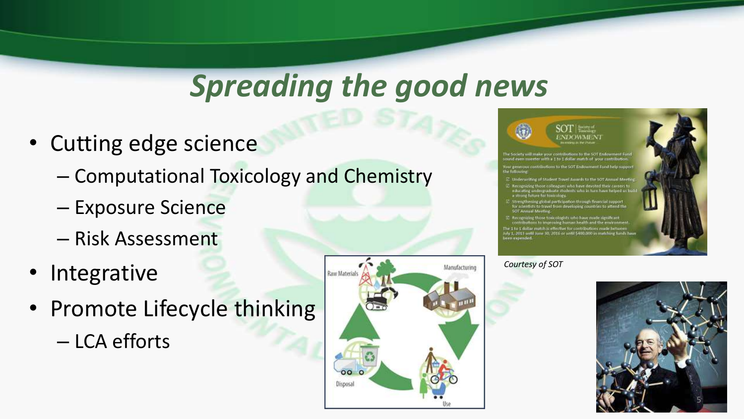## *Spreading the good news*

- Cutting edge science
	- Computational Toxicology and Chemistry
	- Exposure Science
	- Risk Assessment
- Integrative
- Promote Lifecycle thinking
	- LCA efforts







- ins to the SOT Fi
- $\Xi$  Underwitting of Student Travel Awards to the SOT Annual Mer
- $\Xi$  . Recognizing those colleagues who have devoted their careers to pulse also advantage and the transformation of the strang future for transformation who in turn have helped us
- Strengthening global participation through financial support<br>for scientists to travel from developing countries to altered the<br>SOT Annual Meeting.
- $\Xi$  Recognizing those towcologists who have made significant<br>contributions to improving human health and the emirronm<br>The 1 to 1 dollar match is effective for contributions made between<br>July 1, 2013 until June 30, 2016

*Courtesy of SOT*

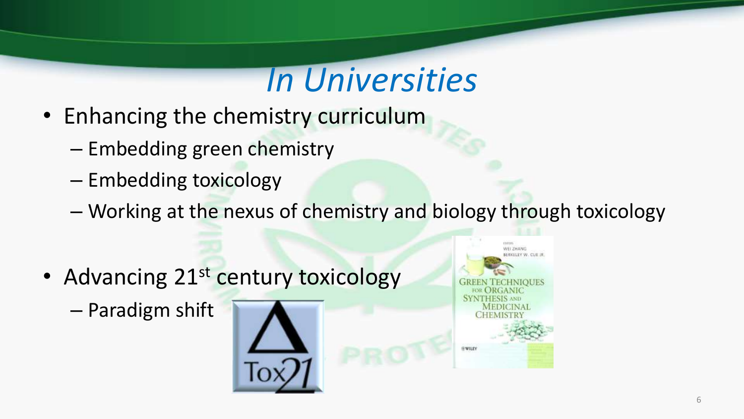# *In Universities*

- Enhancing the chemistry curriculum
	- Embedding green chemistry
	- Embedding toxicology
	- Working at the nexus of chemistry and biology through toxicology
- Advancing 21<sup>st</sup> century toxicology
	- Paradigm shift



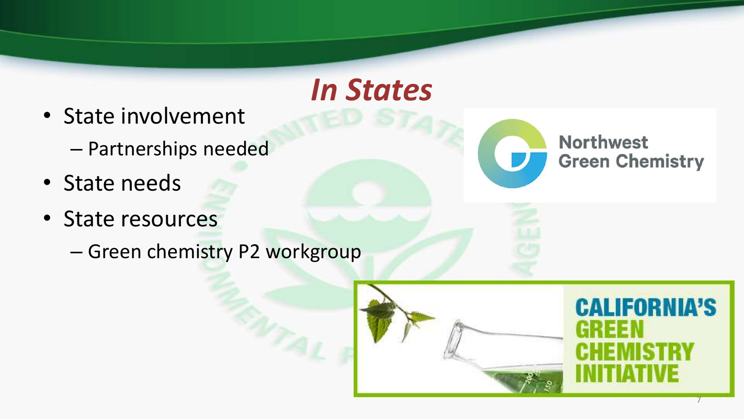- State involvement
	- Partnerships needed
- State needs
- State resources
	- Green chemistry P2 workgroup



*In States*

**Northwest Green Chemistry** 

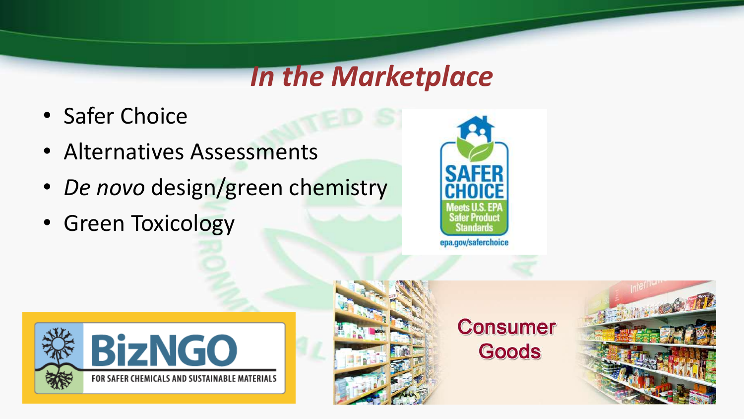## *In the Marketplace*

- Safer Choice
- Alternatives Assessments
- *De novo* design/green chemistry
- Green Toxicology







**Consumer** Goods